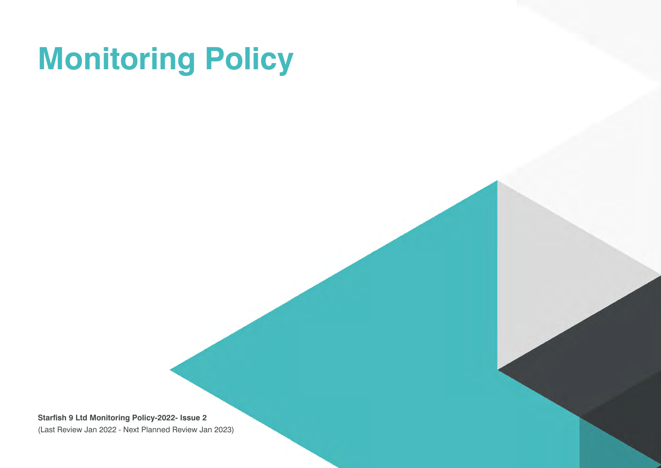# **Monitoring Policy**

**Starfish 9 Ltd Monitoring Policy-2022- Issue 2**  (Last Review Jan 2022 - Next Planned Review Jan 2023)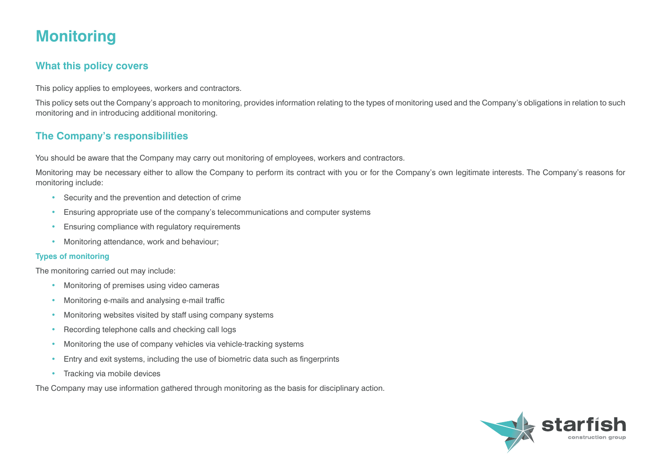# **Monitoring**

## **What this policy covers**

This policy applies to employees, workers and contractors.

This policy sets out the Company's approach to monitoring, provides information relating to the types of monitoring used and the Company's obligations in relation to such monitoring and in introducing additional monitoring.

# **The Company's responsibilities**

You should be aware that the Company may carry out monitoring of employees, workers and contractors.

Monitoring may be necessary either to allow the Company to perform its contract with you or for the Company's own legitimate interests. The Company's reasons for monitoring include:

- Security and the prevention and detection of crime
- Ensuring appropriate use of the company's telecommunications and computer systems
- Ensuring compliance with regulatory requirements
- Monitoring attendance, work and behaviour;

### **Types of monitoring**

The monitoring carried out may include:

- Monitoring of premises using video cameras
- Monitoring e-mails and analysing e-mail traffic
- Monitoring websites visited by staff using company systems
- Recording telephone calls and checking call logs
- Monitoring the use of company vehicles via vehicle-tracking systems
- Entry and exit systems, including the use of biometric data such as fingerprints
- Tracking via mobile devices

The Company may use information gathered through monitoring as the basis for disciplinary action.